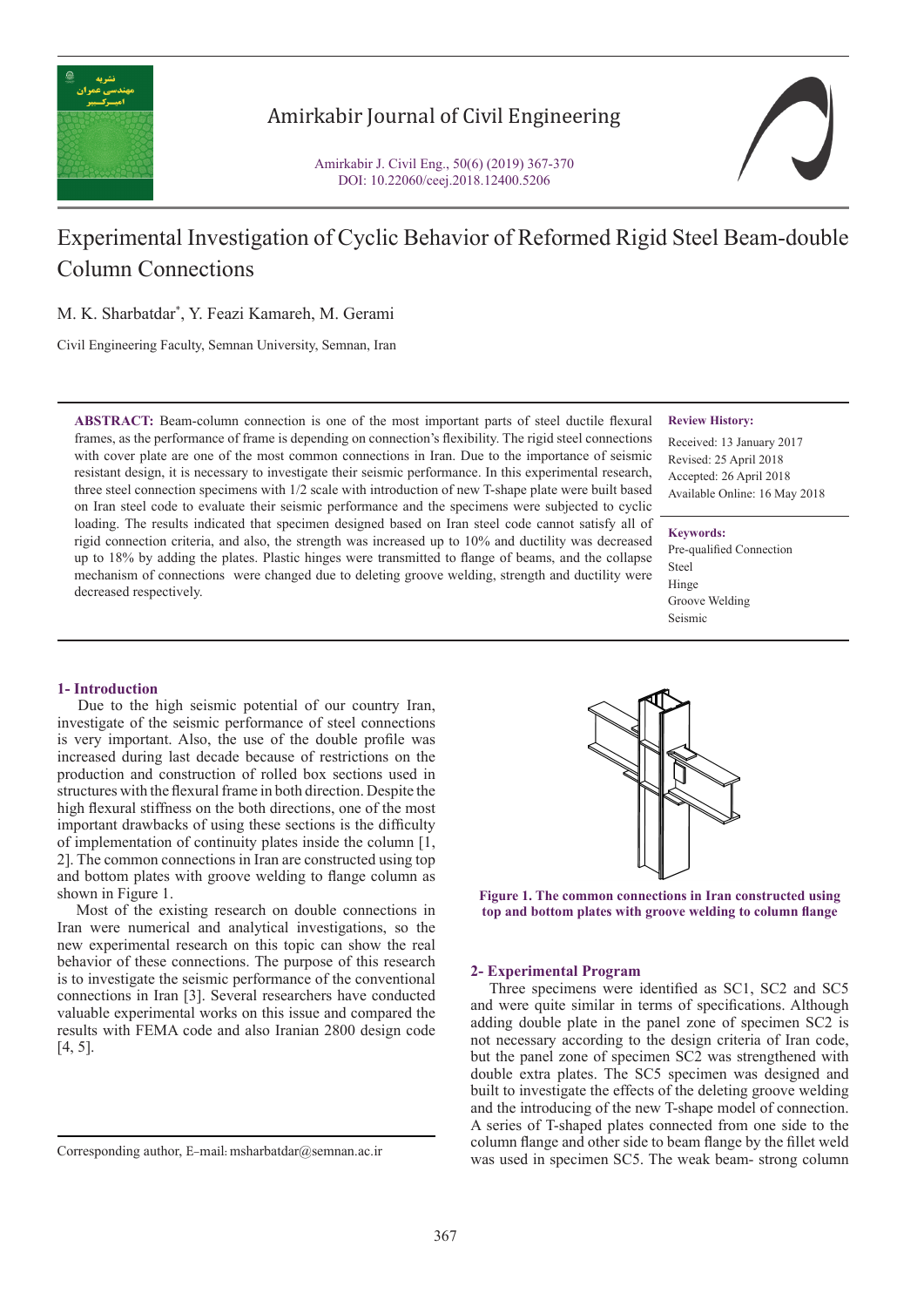

## Amirkabir Journal of Civil Engineering

Amirkabir J. Civil Eng., 50(6) (2019) 367-370 DOI: 10.22060/ceej.2018.12400.5206



# Experimental Investigation of Cyclic Behavior of Reformed Rigid Steel Beam-double Column Connections

M. K. Sharbatdar\* , Y. Feazi Kamareh, M. Gerami

Civil Engineering Faculty, Semnan University, Semnan, Iran

**ABSTRACT:** Beam-column connection is one of the most important parts of steel ductile flexural frames, as the performance of frame is depending on connection's flexibility. The rigid steel connections with cover plate are one of the most common connections in Iran. Due to the importance of seismic resistant design, it is necessary to investigate their seismic performance. In this experimental research, three steel connection specimens with 1/2 scale with introduction of new T-shape plate were built based on Iran steel code to evaluate their seismic performance and the specimens were subjected to cyclic loading. The results indicated that specimen designed based on Iran steel code cannot satisfy all of rigid connection criteria, and also, the strength was increased up to 10% and ductility was decreased up to 18% by adding the plates. Plastic hinges were transmitted to flange of beams, and the collapse mechanism of connections were changed due to deleting groove welding, strength and ductility were decreased respectively.

### **Review History:**

Received: 13 January 2017 Revised: 25 April 2018 Accepted: 26 April 2018 Available Online: 16 May 2018

#### **Keywords:**

Pre-qualified Connection Steel Hinge Groove Welding Seismic

## **1- Introduction**

 Due to the high seismic potential of our country Iran, investigate of the seismic performance of steel connections is very important. Also, the use of the double profile was increased during last decade because of restrictions on the production and construction of rolled box sections used in structures with the flexural frame in both direction. Despite the high flexural stiffness on the both directions, one of the most important drawbacks of using these sections is the difficulty of implementation of continuity plates inside the column [1, 2]. The common connections in Iran are constructed using top and bottom plates with groove welding to flange column as shown in Figure 1.

 Most of the existing research on double connections in Iran were numerical and analytical investigations, so the new experimental research on this topic can show the real behavior of these connections. The purpose of this research is to investigate the seismic performance of the conventional connections in Iran [3]. Several researchers have conducted valuable experimental works on this issue and compared the results with FEMA code and also Iranian 2800 design code [4, 5].



**Figure 1. The common connections in Iran constructed using top and bottom plates with groove welding to column flange**

### **2- Experimental Program**

 Three specimens were identified as SC1, SC2 and SC5 and were quite similar in terms of specifications. Although adding double plate in the panel zone of specimen SC2 is not necessary according to the design criteria of Iran code, but the panel zone of specimen SC2 was strengthened with double extra plates. The SC5 specimen was designed and built to investigate the effects of the deleting groove welding and the introducing of the new T-shape model of connection. A series of T-shaped plates connected from one side to the column flange and other side to beam flange by the fillet weld Corresponding author, E-mail: msharbatdar@semnan.ac.ir<br>was used in specimen SC5. The weak beam- strong column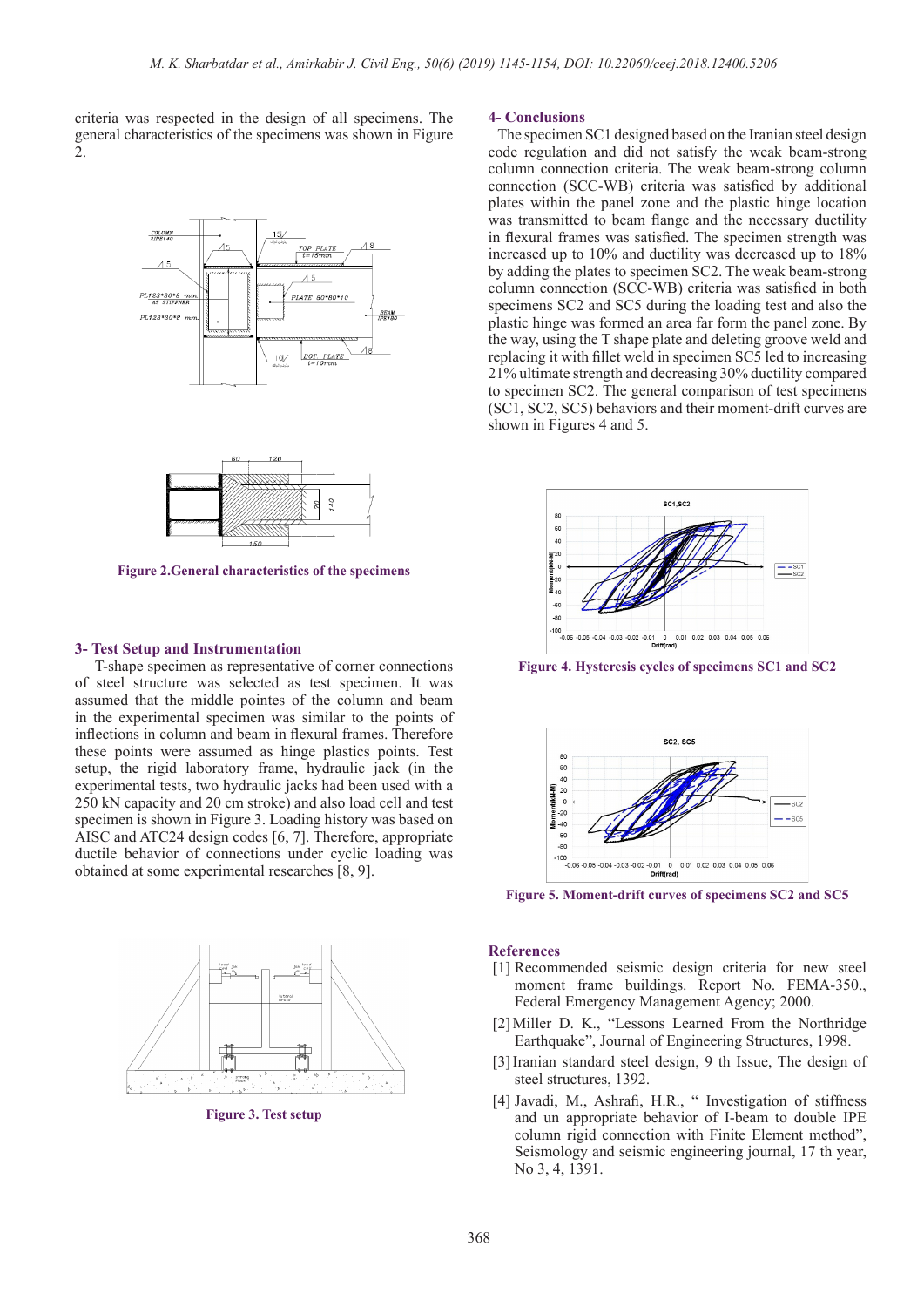criteria was respected in the design of all specimens. The general characteristics of the specimens was shown in Figure 2.





**Figure 2.General characteristics of the specimens**

#### **3- Test Setup and Instrumentation**

 T-shape specimen as representative of corner connections of steel structure was selected as test specimen. It was assumed that the middle pointes of the column and beam in the experimental specimen was similar to the points of inflections in column and beam in flexural frames. Therefore these points were assumed as hinge plastics points. Test setup, the rigid laboratory frame, hydraulic jack (in the experimental tests, two hydraulic jacks had been used with a 250 kN capacity and 20 cm stroke) and also load cell and test specimen is shown in Figure 3. Loading history was based on AISC and ATC24 design codes [6, 7]. Therefore, appropriate ductile behavior of connections under cyclic loading was obtained at some experimental researches [8, 9].



**Figure 3. Test setup**

## **4- Conclusions**

 The specimen SC1 designed based on the Iranian steel design code regulation and did not satisfy the weak beam-strong column connection criteria. The weak beam-strong column connection (SCC-WB) criteria was satisfied by additional plates within the panel zone and the plastic hinge location was transmitted to beam flange and the necessary ductility in flexural frames was satisfied. The specimen strength was increased up to 10% and ductility was decreased up to 18% by adding the plates to specimen SC2. The weak beam-strong column connection (SCC-WB) criteria was satisfied in both specimens SC2 and SC5 during the loading test and also the plastic hinge was formed an area far form the panel zone. By the way, using the T shape plate and deleting groove weld and replacing it with fillet weld in specimen SC5 led to increasing 21% ultimate strength and decreasing 30% ductility compared to specimen SC2. The general comparison of test specimens (SC1, SC2, SC5) behaviors and their moment-drift curves are shown in Figures 4 and 5.



**Figure 4. Hysteresis cycles of specimens SC1 and SC2**



**Figure 5. Moment-drift curves of specimens SC2 and SC5**

## **References**

- [1] Recommended seismic design criteria for new steel moment frame buildings. Report No. FEMA-350., Federal Emergency Management Agency; 2000.
- [2]Miller D. K., "Lessons Learned From the Northridge Earthquake", Journal of Engineering Structures, 1998.
- [3]Iranian standard steel design, 9 th Issue, The design of steel structures, 1392.
- [4] Javadi, M., Ashrafi, H.R., " Investigation of stiffness and un appropriate behavior of I-beam to double IPE column rigid connection with Finite Element method", Seismology and seismic engineering journal, 17 th year, No 3, 4, 1391.